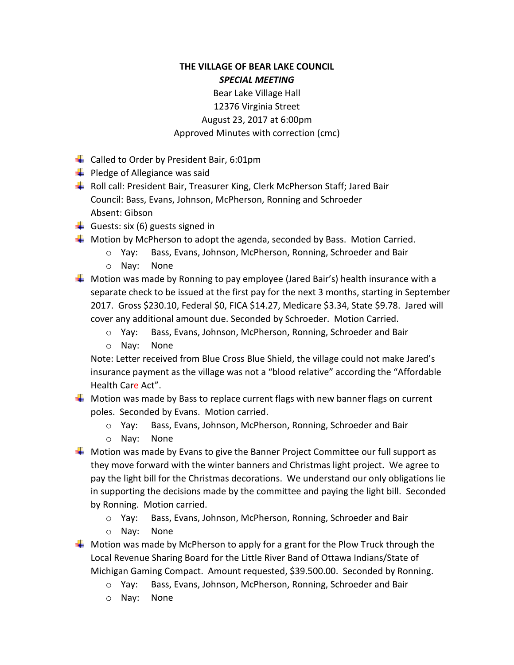## **THE VILLAGE OF BEAR LAKE COUNCIL** *SPECIAL MEETING*

## Bear Lake Village Hall 12376 Virginia Street August 23, 2017 at 6:00pm Approved Minutes with correction (cmc)

- $\downarrow$  Called to Order by President Bair, 6:01pm
- $\downarrow$  Pledge of Allegiance was said
- Roll call: President Bair, Treasurer King, Clerk McPherson Staff; Jared Bair Council: Bass, Evans, Johnson, McPherson, Ronning and Schroeder Absent: Gibson
- Guests: six (6) guests signed in
- $\frac{1}{\sqrt{1}}$  Motion by McPherson to adopt the agenda, seconded by Bass. Motion Carried.
	- o Yay: Bass, Evans, Johnson, McPherson, Ronning, Schroeder and Bair
	- o Nay: None
- $\ddot{+}$  Motion was made by Ronning to pay employee (Jared Bair's) health insurance with a separate check to be issued at the first pay for the next 3 months, starting in September 2017. Gross \$230.10, Federal \$0, FICA \$14.27, Medicare \$3.34, State \$9.78. Jared will cover any additional amount due. Seconded by Schroeder. Motion Carried.
	- o Yay: Bass, Evans, Johnson, McPherson, Ronning, Schroeder and Bair
	- o Nay: None

Note: Letter received from Blue Cross Blue Shield, the village could not make Jared's insurance payment as the village was not a "blood relative" according the "Affordable Health Care Act".

- $\frac{1}{2}$  Motion was made by Bass to replace current flags with new banner flags on current poles. Seconded by Evans. Motion carried.
	- o Yay: Bass, Evans, Johnson, McPherson, Ronning, Schroeder and Bair
	- o Nay: None
- $\ddot{\phantom{1}}$  Motion was made by Evans to give the Banner Project Committee our full support as they move forward with the winter banners and Christmas light project. We agree to pay the light bill for the Christmas decorations. We understand our only obligations lie in supporting the decisions made by the committee and paying the light bill. Seconded by Ronning. Motion carried.
	- o Yay: Bass, Evans, Johnson, McPherson, Ronning, Schroeder and Bair
	- o Nay: None
- $\ddot{+}$  Motion was made by McPherson to apply for a grant for the Plow Truck through the Local Revenue Sharing Board for the Little River Band of Ottawa Indians/State of Michigan Gaming Compact. Amount requested, \$39.500.00. Seconded by Ronning.
	- o Yay: Bass, Evans, Johnson, McPherson, Ronning, Schroeder and Bair
	- o Nay: None